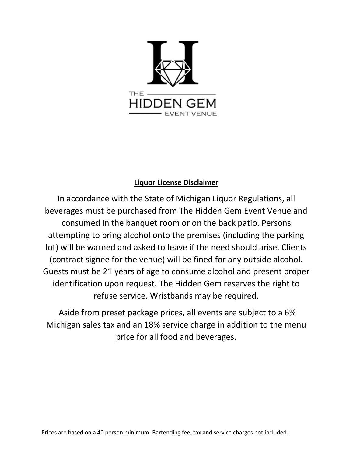

# Liquor License Disclaimer

In accordance with the State of Michigan Liquor Regulations, all beverages must be purchased from The Hidden Gem Event Venue and consumed in the banquet room or on the back patio. Persons attempting to bring alcohol onto the premises (including the parking lot) will be warned and asked to leave if the need should arise. Clients (contract signee for the venue) will be fined for any outside alcohol. Guests must be 21 years of age to consume alcohol and present proper identification upon request. The Hidden Gem reserves the right to refuse service. Wristbands may be required.

 Aside from preset package prices, all events are subject to a 6% Michigan sales tax and an 18% service charge in addition to the menu price for all food and beverages.